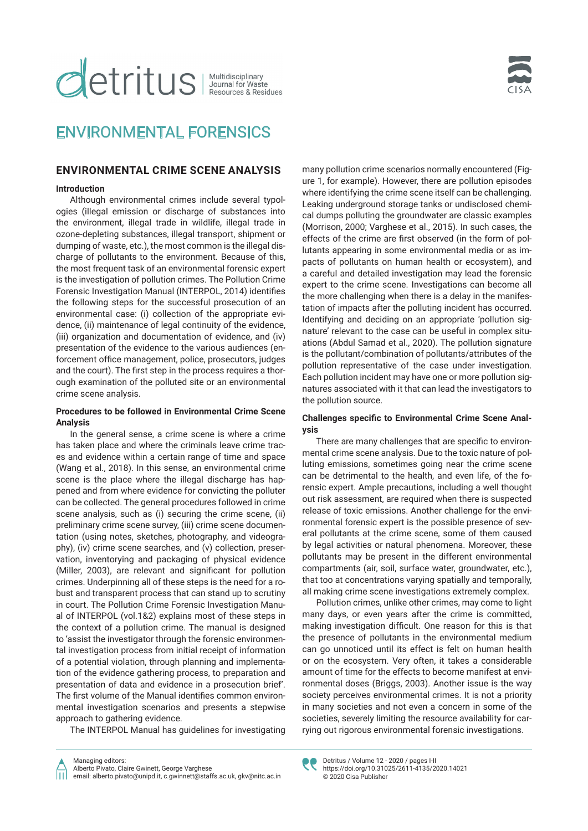# **detritus** | Multidisciplinary

## ENVIRONMENTAL FORENSICS

### **ENVIRONMENTAL CRIME SCENE ANALYSIS**

#### **Introduction**

Although environmental crimes include several typologies (illegal emission or discharge of substances into the environment, illegal trade in wildlife, illegal trade in ozone-depleting substances, illegal transport, shipment or dumping of waste, etc.), the most common is the illegal discharge of pollutants to the environment. Because of this, the most frequent task of an environmental forensic expert is the investigation of pollution crimes. The Pollution Crime Forensic Investigation Manual (INTERPOL, 2014) identifies the following steps for the successful prosecution of an environmental case: (i) collection of the appropriate evidence, (ii) maintenance of legal continuity of the evidence, (iii) organization and documentation of evidence, and (iv) presentation of the evidence to the various audiences (enforcement office management, police, prosecutors, judges and the court). The first step in the process requires a thorough examination of the polluted site or an environmental crime scene analysis.

#### **Procedures to be followed in Environmental Crime Scene Analysis**

In the general sense, a crime scene is where a crime has taken place and where the criminals leave crime traces and evidence within a certain range of time and space (Wang et al., 2018). In this sense, an environmental crime scene is the place where the illegal discharge has happened and from where evidence for convicting the polluter can be collected. The general procedures followed in crime scene analysis, such as (i) securing the crime scene, (ii) preliminary crime scene survey, (iii) crime scene documentation (using notes, sketches, photography, and videography), (iv) crime scene searches, and (v) collection, preservation, inventorying and packaging of physical evidence (Miller, 2003), are relevant and significant for pollution crimes. Underpinning all of these steps is the need for a robust and transparent process that can stand up to scrutiny in court. The Pollution Crime Forensic Investigation Manual of INTERPOL (vol.1&2) explains most of these steps in the context of a pollution crime. The manual is designed to 'assist the investigator through the forensic environmental investigation process from initial receipt of information of a potential violation, through planning and implementation of the evidence gathering process, to preparation and presentation of data and evidence in a prosecution brief'. The first volume of the Manual identifies common environmental investigation scenarios and presents a stepwise approach to gathering evidence.

The INTERPOL Manual has guidelines for investigating

many pollution crime scenarios normally encountered (Figure 1, for example). However, there are pollution episodes where identifying the crime scene itself can be challenging. Leaking underground storage tanks or undisclosed chemical dumps polluting the groundwater are classic examples (Morrison, 2000; Varghese et al., 2015). In such cases, the effects of the crime are first observed (in the form of pollutants appearing in some environmental media or as impacts of pollutants on human health or ecosystem), and a careful and detailed investigation may lead the forensic expert to the crime scene. Investigations can become all the more challenging when there is a delay in the manifestation of impacts after the polluting incident has occurred. Identifying and deciding on an appropriate 'pollution signature' relevant to the case can be useful in complex situations (Abdul Samad et al., 2020). The pollution signature is the pollutant/combination of pollutants/attributes of the pollution representative of the case under investigation. Each pollution incident may have one or more pollution signatures associated with it that can lead the investigators to the pollution source.

#### **Challenges specific to Environmental Crime Scene Analysis**

There are many challenges that are specific to environmental crime scene analysis. Due to the toxic nature of polluting emissions, sometimes going near the crime scene can be detrimental to the health, and even life, of the forensic expert. Ample precautions, including a well thought out risk assessment, are required when there is suspected release of toxic emissions. Another challenge for the environmental forensic expert is the possible presence of several pollutants at the crime scene, some of them caused by legal activities or natural phenomena. Moreover, these pollutants may be present in the different environmental compartments (air, soil, surface water, groundwater, etc.), that too at concentrations varying spatially and temporally, all making crime scene investigations extremely complex.

Pollution crimes, unlike other crimes, may come to light many days, or even years after the crime is committed, making investigation difficult. One reason for this is that the presence of pollutants in the environmental medium can go unnoticed until its effect is felt on human health or on the ecosystem. Very often, it takes a considerable amount of time for the effects to become manifest at environmental doses (Briggs, 2003). Another issue is the way society perceives environmental crimes. It is not a priority in many societies and not even a concern in some of the societies, severely limiting the resource availability for carrying out rigorous environmental forensic investigations.



Detritus / Volume 12 - 2020 / pages I-II https://doi.org/10.31025/2611-4135/2020.14021 © 2020 Cisa Publisher